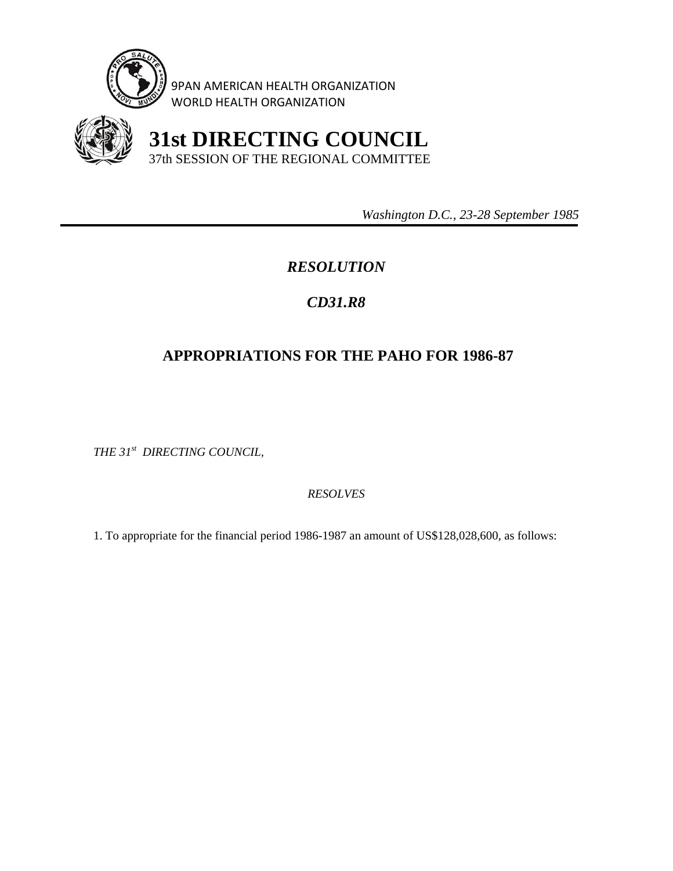

9PAN AMERICAN HEALTH ORGANIZATION WORLD HEALTH ORGANIZATION



 **31st DIRECTING COUNCIL** 37th SESSION OF THE REGIONAL COMMITTEE

 *Washington D.C., 23-28 September 1985* 

## *RESOLUTION*

## *CD31.R8*

## **APPROPRIATIONS FOR THE PAHO FOR 1986-87**

*THE 31st DIRECTING COUNCIL,* 

*RESOLVES* 

1. To appropriate for the financial period 1986-1987 an amount of US\$128,028,600, as follows: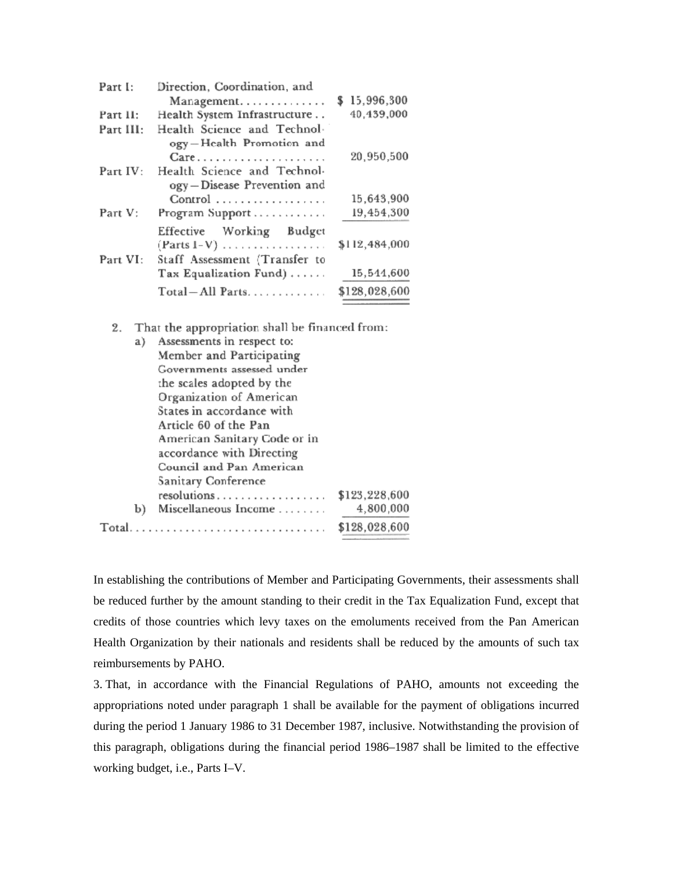| Part I:   | Direction, Coordination, and                |               |
|-----------|---------------------------------------------|---------------|
|           | Management                                  | \$15,996,300  |
| Part II:  | Health System Infrastructure                | 40,439,000    |
| Part III: | Health Science and Technol-                 |               |
|           | ogy-Health Promotion and                    |               |
|           | Care                                        | 20,950,500    |
| Part IV:  | Health Science and Technol-                 |               |
|           | ogy-Disease Prevention and                  |               |
|           | Control                                     | 15,643,900    |
| Part V:   | Program Support                             | 19,454,300    |
|           | Effective Working Budget                    |               |
|           | $(Parts I-V) \dots \dots \dots \dots \dots$ | \$112,484,000 |
| Part VI:  | Staff Assessment (Transfer to               |               |
|           | Tax Equalization Fund)                      | 15,544,600    |
|           | Total-All Parts                             | \$128,028,600 |

That the appropriation shall be financed from:  $2.$ 

| a)    |                            | Assessments in respect to:   |               |
|-------|----------------------------|------------------------------|---------------|
|       | Member and Participating   |                              |               |
|       | Governments assessed under |                              |               |
|       | the scales adopted by the  |                              |               |
|       | Organization of American   |                              |               |
|       | States in accordance with  |                              |               |
|       |                            | Article 60 of the Pan        |               |
|       |                            | American Sanitary Code or in |               |
|       |                            | accordance with Directing    |               |
|       | Council and Pan American   |                              |               |
|       |                            | Sanitary Conference          |               |
|       |                            | resolutions                  | \$123,228,600 |
|       | b)                         | Miscellaneous Income         | 4,800,000     |
| Total |                            |                              | \$128,028,600 |
|       |                            |                              |               |

In establishing the contributions of Member and Participating Governments, their assessments shall be reduced further by the amount standing to their credit in the Tax Equalization Fund, except that credits of those countries which levy taxes on the emoluments received from the Pan American Health Organization by their nationals and residents shall be reduced by the amounts of such tax reimbursements by PAHO.

3. That, in accordance with the Financial Regulations of PAHO, amounts not exceeding the appropriations noted under paragraph 1 shall be available for the payment of obligations incurred during the period 1 January 1986 to 31 December 1987, inclusive. Notwithstanding the provision of this paragraph, obligations during the financial period 1986–1987 shall be limited to the effective working budget, i.e., Parts I–V.